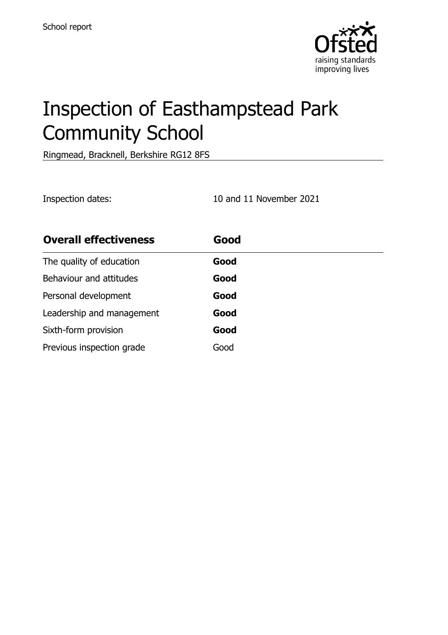

# Inspection of Easthampstead Park Community School

Ringmead, Bracknell, Berkshire RG12 8FS

Inspection dates: 10 and 11 November 2021

| <b>Overall effectiveness</b> | Good |
|------------------------------|------|
| The quality of education     | Good |
| Behaviour and attitudes      | Good |
| Personal development         | Good |
| Leadership and management    | Good |
| Sixth-form provision         | Good |
| Previous inspection grade    | Good |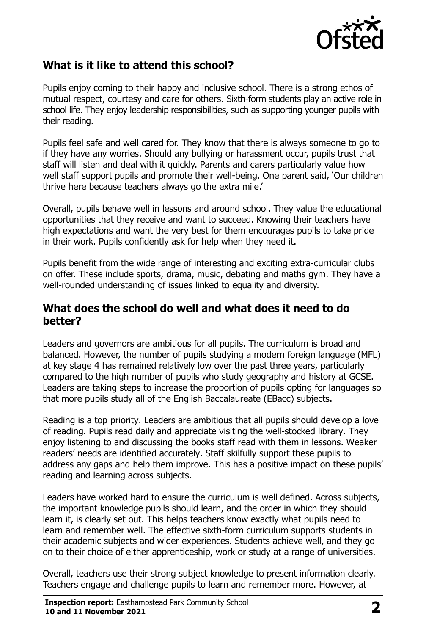

# **What is it like to attend this school?**

Pupils enjoy coming to their happy and inclusive school. There is a strong ethos of mutual respect, courtesy and care for others. Sixth-form students play an active role in school life. They enjoy leadership responsibilities, such as supporting younger pupils with their reading.

Pupils feel safe and well cared for. They know that there is always someone to go to if they have any worries. Should any bullying or harassment occur, pupils trust that staff will listen and deal with it quickly. Parents and carers particularly value how well staff support pupils and promote their well-being. One parent said, 'Our children thrive here because teachers always go the extra mile.'

Overall, pupils behave well in lessons and around school. They value the educational opportunities that they receive and want to succeed. Knowing their teachers have high expectations and want the very best for them encourages pupils to take pride in their work. Pupils confidently ask for help when they need it.

Pupils benefit from the wide range of interesting and exciting extra-curricular clubs on offer. These include sports, drama, music, debating and maths gym. They have a well-rounded understanding of issues linked to equality and diversity.

#### **What does the school do well and what does it need to do better?**

Leaders and governors are ambitious for all pupils. The curriculum is broad and balanced. However, the number of pupils studying a modern foreign language (MFL) at key stage 4 has remained relatively low over the past three years, particularly compared to the high number of pupils who study geography and history at GCSE. Leaders are taking steps to increase the proportion of pupils opting for languages so that more pupils study all of the English Baccalaureate (EBacc) subjects.

Reading is a top priority. Leaders are ambitious that all pupils should develop a love of reading. Pupils read daily and appreciate visiting the well-stocked library. They enjoy listening to and discussing the books staff read with them in lessons. Weaker readers' needs are identified accurately. Staff skilfully support these pupils to address any gaps and help them improve. This has a positive impact on these pupils' reading and learning across subjects.

Leaders have worked hard to ensure the curriculum is well defined. Across subjects, the important knowledge pupils should learn, and the order in which they should learn it, is clearly set out. This helps teachers know exactly what pupils need to learn and remember well. The effective sixth-form curriculum supports students in their academic subjects and wider experiences. Students achieve well, and they go on to their choice of either apprenticeship, work or study at a range of universities.

Overall, teachers use their strong subject knowledge to present information clearly. Teachers engage and challenge pupils to learn and remember more. However, at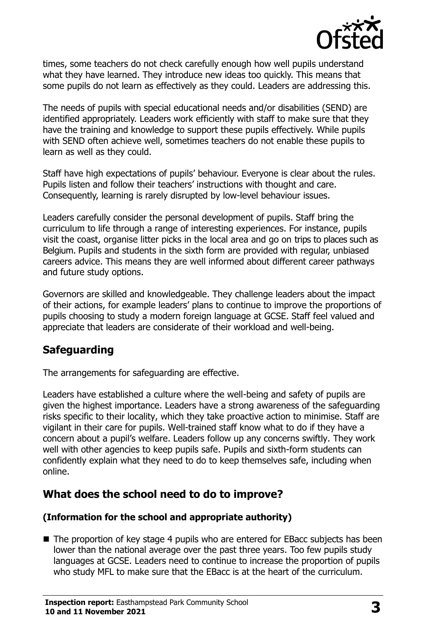

times, some teachers do not check carefully enough how well pupils understand what they have learned. They introduce new ideas too quickly. This means that some pupils do not learn as effectively as they could. Leaders are addressing this.

The needs of pupils with special educational needs and/or disabilities (SEND) are identified appropriately. Leaders work efficiently with staff to make sure that they have the training and knowledge to support these pupils effectively. While pupils with SEND often achieve well, sometimes teachers do not enable these pupils to learn as well as they could.

Staff have high expectations of pupils' behaviour. Everyone is clear about the rules. Pupils listen and follow their teachers' instructions with thought and care. Consequently, learning is rarely disrupted by low-level behaviour issues.

Leaders carefully consider the personal development of pupils. Staff bring the curriculum to life through a range of interesting experiences. For instance, pupils visit the coast, organise litter picks in the local area and go on trips to places such as Belgium. Pupils and students in the sixth form are provided with regular, unbiased careers advice. This means they are well informed about different career pathways and future study options.

Governors are skilled and knowledgeable. They challenge leaders about the impact of their actions, for example leaders' plans to continue to improve the proportions of pupils choosing to study a modern foreign language at GCSE. Staff feel valued and appreciate that leaders are considerate of their workload and well-being.

# **Safeguarding**

The arrangements for safeguarding are effective.

Leaders have established a culture where the well-being and safety of pupils are given the highest importance. Leaders have a strong awareness of the safeguarding risks specific to their locality, which they take proactive action to minimise. Staff are vigilant in their care for pupils. Well-trained staff know what to do if they have a concern about a pupil's welfare. Leaders follow up any concerns swiftly. They work well with other agencies to keep pupils safe. Pupils and sixth-form students can confidently explain what they need to do to keep themselves safe, including when online.

# **What does the school need to do to improve?**

#### **(Information for the school and appropriate authority)**

■ The proportion of key stage 4 pupils who are entered for EBacc subjects has been lower than the national average over the past three years. Too few pupils study languages at GCSE. Leaders need to continue to increase the proportion of pupils who study MFL to make sure that the EBacc is at the heart of the curriculum.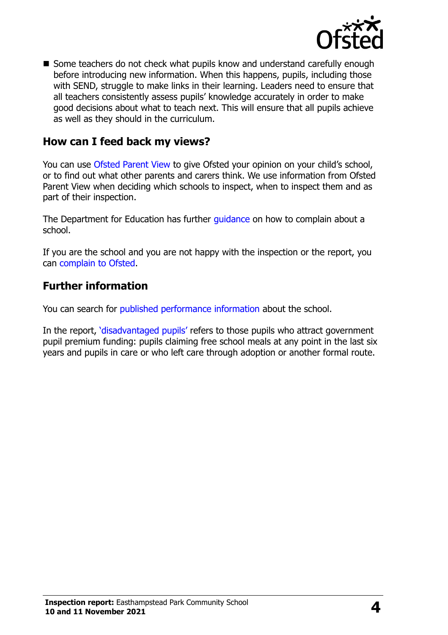

■ Some teachers do not check what pupils know and understand carefully enough before introducing new information. When this happens, pupils, including those with SEND, struggle to make links in their learning. Leaders need to ensure that all teachers consistently assess pupils' knowledge accurately in order to make good decisions about what to teach next. This will ensure that all pupils achieve as well as they should in the curriculum.

## **How can I feed back my views?**

You can use [Ofsted Parent View](http://parentview.ofsted.gov.uk/) to give Ofsted your opinion on your child's school, or to find out what other parents and carers think. We use information from Ofsted Parent View when deciding which schools to inspect, when to inspect them and as part of their inspection.

The Department for Education has further quidance on how to complain about a school.

If you are the school and you are not happy with the inspection or the report, you can [complain to Ofsted.](http://www.gov.uk/complain-ofsted-report)

### **Further information**

You can search for [published performance information](http://www.compare-school-performance.service.gov.uk/) about the school.

In the report, '[disadvantaged pupils](http://www.gov.uk/guidance/pupil-premium-information-for-schools-and-alternative-provision-settings)' refers to those pupils who attract government pupil premium funding: pupils claiming free school meals at any point in the last six years and pupils in care or who left care through adoption or another formal route.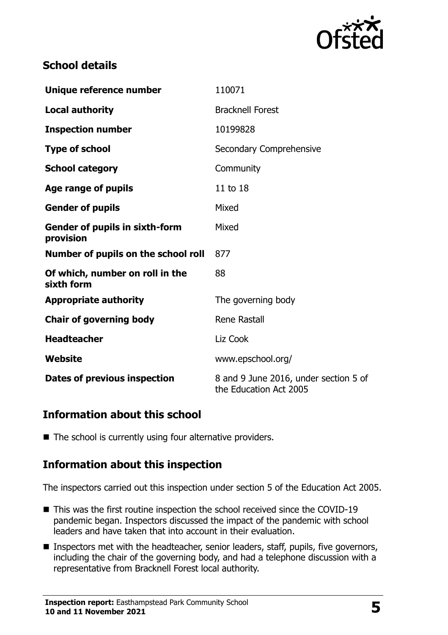

# **School details**

| Unique reference number                            | 110071                                                          |
|----------------------------------------------------|-----------------------------------------------------------------|
| <b>Local authority</b>                             | <b>Bracknell Forest</b>                                         |
| <b>Inspection number</b>                           | 10199828                                                        |
| <b>Type of school</b>                              | Secondary Comprehensive                                         |
| <b>School category</b>                             | Community                                                       |
| Age range of pupils                                | 11 to 18                                                        |
| <b>Gender of pupils</b>                            | Mixed                                                           |
| <b>Gender of pupils in sixth-form</b><br>provision | Mixed                                                           |
| Number of pupils on the school roll                | 877                                                             |
| Of which, number on roll in the<br>sixth form      | 88                                                              |
| <b>Appropriate authority</b>                       | The governing body                                              |
| <b>Chair of governing body</b>                     | <b>Rene Rastall</b>                                             |
| <b>Headteacher</b>                                 | Liz Cook                                                        |
| Website                                            | www.epschool.org/                                               |
| <b>Dates of previous inspection</b>                | 8 and 9 June 2016, under section 5 of<br>the Education Act 2005 |

### **Information about this school**

 $\blacksquare$  The school is currently using four alternative providers.

### **Information about this inspection**

The inspectors carried out this inspection under section 5 of the Education Act 2005.

- This was the first routine inspection the school received since the COVID-19 pandemic began. Inspectors discussed the impact of the pandemic with school leaders and have taken that into account in their evaluation.
- Inspectors met with the headteacher, senior leaders, staff, pupils, five governors, including the chair of the governing body, and had a telephone discussion with a representative from Bracknell Forest local authority.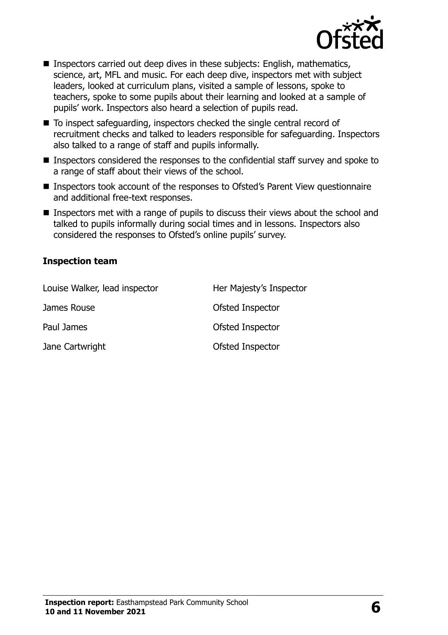

- **Inspectors carried out deep dives in these subjects: English, mathematics,** science, art, MFL and music. For each deep dive, inspectors met with subject leaders, looked at curriculum plans, visited a sample of lessons, spoke to teachers, spoke to some pupils about their learning and looked at a sample of pupils' work. Inspectors also heard a selection of pupils read.
- To inspect safeguarding, inspectors checked the single central record of recruitment checks and talked to leaders responsible for safeguarding. Inspectors also talked to a range of staff and pupils informally.
- Inspectors considered the responses to the confidential staff survey and spoke to a range of staff about their views of the school.
- Inspectors took account of the responses to Ofsted's Parent View questionnaire and additional free-text responses.
- Inspectors met with a range of pupils to discuss their views about the school and talked to pupils informally during social times and in lessons. Inspectors also considered the responses to Ofsted's online pupils' survey.

#### **Inspection team**

| Louise Walker, lead inspector | Her Majesty's Inspector |
|-------------------------------|-------------------------|
| James Rouse                   | Ofsted Inspector        |
| Paul James                    | Ofsted Inspector        |
| Jane Cartwright               | Ofsted Inspector        |